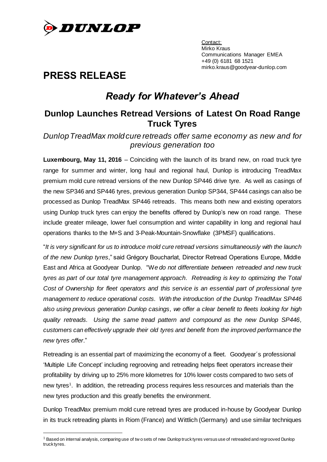

Contact: Mirko Kraus Communications Manager EMEA +49 (0) 6181 68 1521 mirko.kraus@goodyear-dunlop.com

# **PRESS RELEASE**

 $\overline{a}$ 

# *Ready for Whatever's Ahead*

## **Dunlop Launches Retread Versions of Latest On Road Range Truck Tyres**

### *Dunlop TreadMax mold cure retreads offer same economy as new and for previous generation too*

**Luxembourg, May 11, 2016** – Coinciding with the launch of its brand new, on road truck tyre range for summer and winter, long haul and regional haul, Dunlop is introducing TreadMax premium mold cure retread versions of the new Dunlop SP446 drive tyre. As well as casings of the new SP346 and SP446 tyres, previous generation Dunlop SP344, SP444 casings can also be processed as Dunlop TreadMax SP446 retreads. This means both new and existing operators using Dunlop truck tyres can enjoy the benefits offered by Dunlop's new on road range. These include greater mileage, lower fuel consumption and winter capability in long and regional haul operations thanks to the M+S and 3-Peak-Mountain-Snowflake (3PMSF) qualifications.

"*It is very significant for us to introduce mold cure retread versions simultaneously with the launch of the new Dunlop tyres*," said Grégory Boucharlat, Director Retread Operations Europe, Middle East and Africa at Goodyear Dunlop. "W*e do not differentiate between retreaded and new truck tyres as part of our total tyre management approach*. *Retreading is key to optimizing the Total Cost of Ownership for fleet operators and this service is an essential part of professional tyre management to reduce operational costs. With the introduction of the Dunlop TreadMax SP446 also using previous generation Dunlop casings, we offer a clear benefit to fleets looking for high quality retreads. Using the same tread pattern and compound as the new Dunlop SP446, customers can effectively upgrade their old tyres and benefit from the improved performance the new tyres offer*."

Retreading is an essential part of maximizing the economy of a fleet. Goodyear´s professional 'Multiple Life Concept' including regrooving and retreading helps fleet operators increase their profitability by driving up to 25% more kilometres for 10% lower costs compared to two sets of new tyres<sup>1</sup>. In addition, the retreading process requires less resources and materials than the new tyres production and this greatly benefits the environment.

Dunlop TreadMax premium mold cure retread tyres are produced in-house by Goodyear Dunlop in its truck retreading plants in Riom (France) and Wittlich (Germany) and use similar techniques

<sup>&</sup>lt;sup>1</sup> Based on internal analysis, comparing use of tw o sets of new Dunlop truck tyres versus use of retreaded and regrooved Dunlop truck tyres.